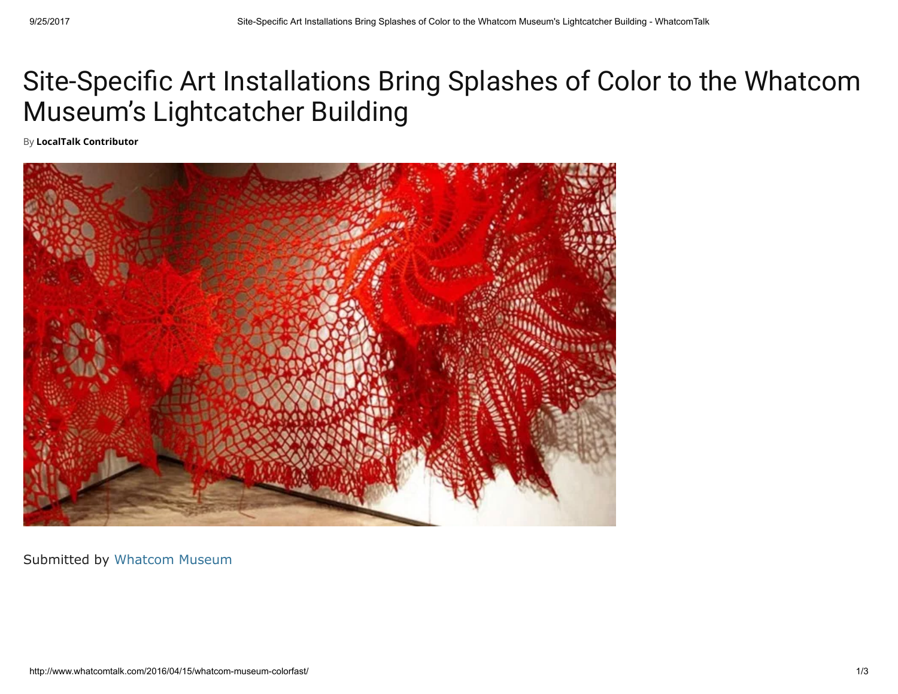## Site-Specific Art Installations Bring Splashes of Color to the Whatcom Museum's Lightcatcher Building

By LocalTalk [Contributor](http://www.whatcomtalk.com/author/localtalk-contributor/)



Submitted by [Whatcom](https://whatcommuseum.org/) Museum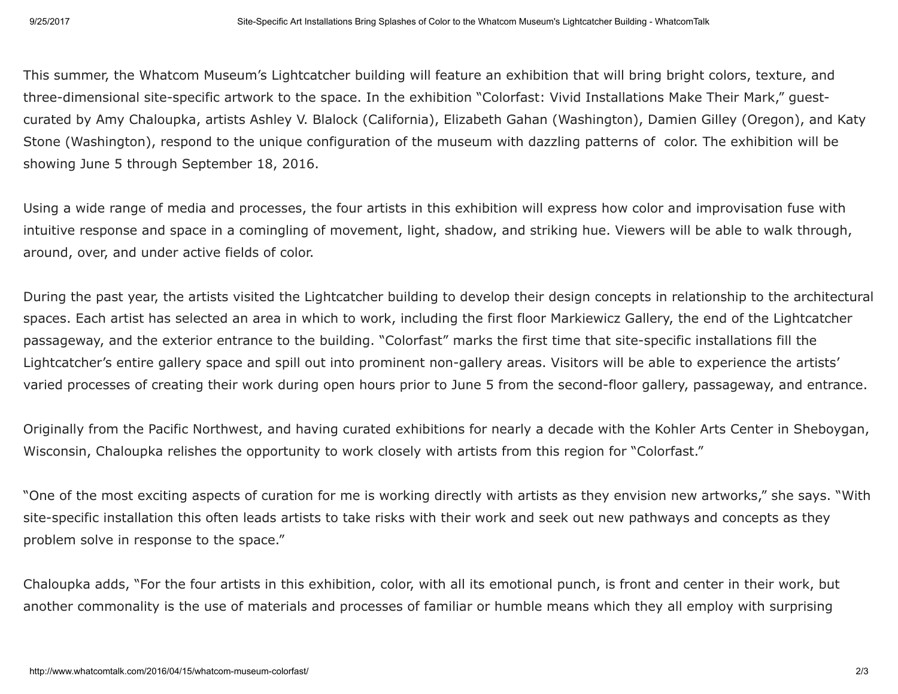This summer, the Whatcom Museum's Lightcatcher building will feature an exhibition that will bring bright colors, texture, and three-dimensional site-specific artwork to the space. In the exhibition "Colorfast: Vivid Installations Make Their Mark," guestcurated by Amy Chaloupka, artists Ashley V. Blalock (California), Elizabeth Gahan (Washington), Damien Gilley (Oregon), and Katy Stone (Washington), respond to the unique configuration of the museum with dazzling patterns of color. The exhibition will be showing June 5 through September 18, 2016.

Using a wide range of media and processes, the four artists in this exhibition will express how color and improvisation fuse with intuitive response and space in a comingling of movement, light, shadow, and striking hue. Viewers will be able to walk through, around, over, and under active fields of color.

During the past year, the artists visited the Lightcatcher building to develop their design concepts in relationship to the architectural spaces. Each artist has selected an area in which to work, including the first floor Markiewicz Gallery, the end of the Lightcatcher passageway, and the exterior entrance to the building. "Colorfast" marks the first time that site-specific installations fill the Lightcatcher's entire gallery space and spill out into prominent non-gallery areas. Visitors will be able to experience the artists' varied processes of creating their work during open hours prior to June 5 from the second-floor gallery, passageway, and entrance.

Originally from the Pacific Northwest, and having curated exhibitions for nearly a decade with the Kohler Arts Center in Sheboygan, Wisconsin, Chaloupka relishes the opportunity to work closely with artists from this region for "Colorfast."

"One of the most exciting aspects of curation for me is working directly with artists as they envision new artworks," she says. "With site-specific installation this often leads artists to take risks with their work and seek out new pathways and concepts as they problem solve in response to the space."

Chaloupka adds, "For the four artists in this exhibition, color, with all its emotional punch, is front and center in their work, but another commonality is the use of materials and processes of familiar or humble means which they all employ with surprising